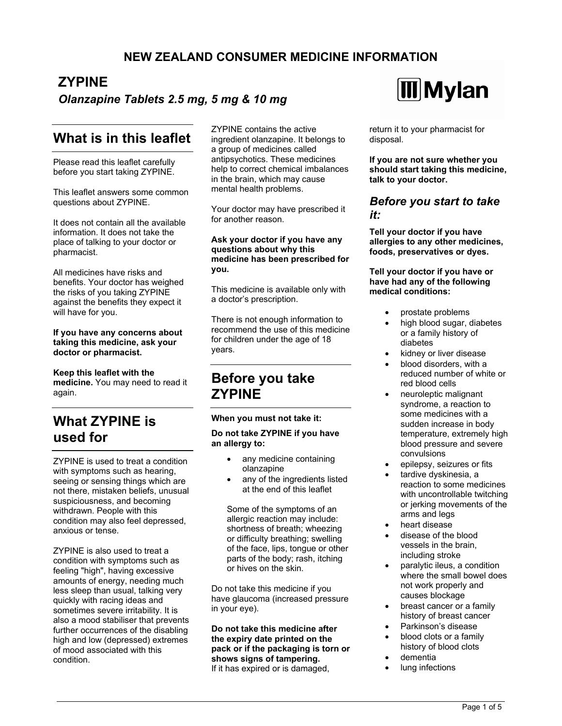## **NEW ZEALAND CONSUMER MEDICINE INFORMATION**

# **ZYPINE**

### *Olanzapine Tablets 2.5 mg, 5 mg & 10 mg*

## **What is in this leaflet**

Please read this leaflet carefully before you start taking ZYPINE.

This leaflet answers some common questions about ZYPINE.

It does not contain all the available information. It does not take the place of talking to your doctor or pharmacist.

All medicines have risks and benefits. Your doctor has weighed the risks of you taking ZYPINE against the benefits they expect it will have for you.

#### **If you have any concerns about taking this medicine, ask your doctor or pharmacist.**

**Keep this leaflet with the medicine.** You may need to read it again.

# **What ZYPINE is used for**

ZYPINE is used to treat a condition with symptoms such as hearing, seeing or sensing things which are not there, mistaken beliefs, unusual suspiciousness, and becoming withdrawn. People with this condition may also feel depressed, anxious or tense.

ZYPINE is also used to treat a condition with symptoms such as feeling "high", having excessive amounts of energy, needing much less sleep than usual, talking very quickly with racing ideas and sometimes severe irritability. It is also a mood stabiliser that prevents further occurrences of the disabling high and low (depressed) extremes of mood associated with this condition.

ZYPINE contains the active ingredient olanzapine. It belongs to a group of medicines called antipsychotics. These medicines help to correct chemical imbalances in the brain, which may cause mental health problems.

Your doctor may have prescribed it for another reason.

#### **Ask your doctor if you have any questions about why this medicine has been prescribed for you.**

This medicine is available only with a doctor's prescription.

There is not enough information to recommend the use of this medicine for children under the age of 18 years.

## **Before you take ZYPINE**

**When you must not take it:** 

**Do not take ZYPINE if you have an allergy to:** 

- any medicine containing olanzapine
- any of the ingredients listed at the end of this leaflet

Some of the symptoms of an allergic reaction may include: shortness of breath; wheezing or difficulty breathing; swelling of the face, lips, tongue or other parts of the body; rash, itching or hives on the skin.

Do not take this medicine if you have glaucoma (increased pressure in your eye).

**Do not take this medicine after the expiry date printed on the pack or if the packaging is torn or shows signs of tampering.** If it has expired or is damaged,



return it to your pharmacist for disposal.

**If you are not sure whether you should start taking this medicine, talk to your doctor.** 

### *Before you start to take it:*

**Tell your doctor if you have allergies to any other medicines, foods, preservatives or dyes.** 

**Tell your doctor if you have or have had any of the following medical conditions:** 

- prostate problems
- high blood sugar, diabetes or a family history of diabetes
- kidney or liver disease
- blood disorders, with a reduced number of white or red blood cells
- neuroleptic malignant syndrome, a reaction to some medicines with a sudden increase in body temperature, extremely high blood pressure and severe convulsions
- epilepsy, seizures or fits
- tardive dyskinesia, a reaction to some medicines with uncontrollable twitching or jerking movements of the arms and legs
- heart disease
- disease of the blood vessels in the brain, including stroke
- paralytic ileus, a condition where the small bowel does not work properly and causes blockage
- breast cancer or a family history of breast cancer
- Parkinson's disease
- blood clots or a family history of blood clots
- dementia
- lung infections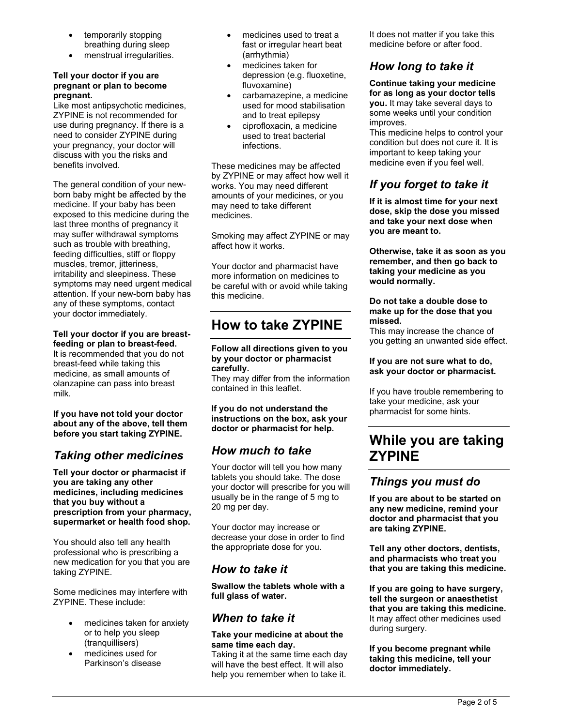- temporarily stopping breathing during sleep
- menstrual irregularities.

### **Tell your doctor if you are pregnant or plan to become pregnant.**

Like most antipsychotic medicines, ZYPINE is not recommended for use during pregnancy. If there is a need to consider ZYPINE during your pregnancy, your doctor will discuss with you the risks and benefits involved.

The general condition of your newborn baby might be affected by the medicine. If your baby has been exposed to this medicine during the last three months of pregnancy it may suffer withdrawal symptoms such as trouble with breathing, feeding difficulties, stiff or floppy muscles, tremor, jitteriness, irritability and sleepiness. These symptoms may need urgent medical attention. If your new-born baby has any of these symptoms, contact your doctor immediately.

### **Tell your doctor if you are breast-**

**feeding or plan to breast-feed.** It is recommended that you do not breast-feed while taking this medicine, as small amounts of olanzapine can pass into breast milk.

**If you have not told your doctor about any of the above, tell them before you start taking ZYPINE.** 

## *Taking other medicines*

**Tell your doctor or pharmacist if you are taking any other medicines, including medicines that you buy without a prescription from your pharmacy, supermarket or health food shop.**

You should also tell any health professional who is prescribing a new medication for you that you are taking ZYPINE.

Some medicines may interfere with ZYPINE. These include:

- medicines taken for anxiety or to help you sleep (tranquillisers)
- medicines used for Parkinson's disease
- medicines used to treat a fast or irregular heart beat (arrhythmia)
- medicines taken for depression (e.g. fluoxetine, fluvoxamine)
- carbamazepine, a medicine used for mood stabilisation and to treat epilepsy
- ciprofloxacin, a medicine used to treat bacterial infections.

These medicines may be affected by ZYPINE or may affect how well it works. You may need different amounts of your medicines, or you may need to take different medicines.

Smoking may affect ZYPINE or may affect how it works.

Your doctor and pharmacist have more information on medicines to be careful with or avoid while taking this medicine.

# **How to take ZYPINE**

**Follow all directions given to you by your doctor or pharmacist carefully.**

They may differ from the information contained in this leaflet.

**If you do not understand the instructions on the box, ask your doctor or pharmacist for help.** 

## *How much to take*

Your doctor will tell you how many tablets you should take. The dose your doctor will prescribe for you will usually be in the range of 5 mg to 20 mg per day.

Your doctor may increase or decrease your dose in order to find the appropriate dose for you.

## *How to take it*

**Swallow the tablets whole with a full glass of water.** 

## *When to take it*

### **Take your medicine at about the same time each day.**

Taking it at the same time each day will have the best effect. It will also help you remember when to take it.

It does not matter if you take this medicine before or after food.

## *How long to take it*

**Continue taking your medicine for as long as your doctor tells you.** It may take several days to some weeks until your condition improves.

This medicine helps to control your condition but does not cure it. It is important to keep taking your medicine even if you feel well.

## *If you forget to take it*

**If it is almost time for your next dose, skip the dose you missed and take your next dose when you are meant to.** 

**Otherwise, take it as soon as you remember, and then go back to taking your medicine as you would normally.** 

#### **Do not take a double dose to make up for the dose that you missed.**

This may increase the chance of you getting an unwanted side effect.

### **If you are not sure what to do, ask your doctor or pharmacist.**

If you have trouble remembering to take your medicine, ask your pharmacist for some hints.

# **While you are taking ZYPINE**

### *Things you must do*

**If you are about to be started on any new medicine, remind your doctor and pharmacist that you are taking ZYPINE.** 

**Tell any other doctors, dentists, and pharmacists who treat you that you are taking this medicine.** 

**If you are going to have surgery, tell the surgeon or anaesthetist that you are taking this medicine.** It may affect other medicines used during surgery.

**If you become pregnant while taking this medicine, tell your doctor immediately.**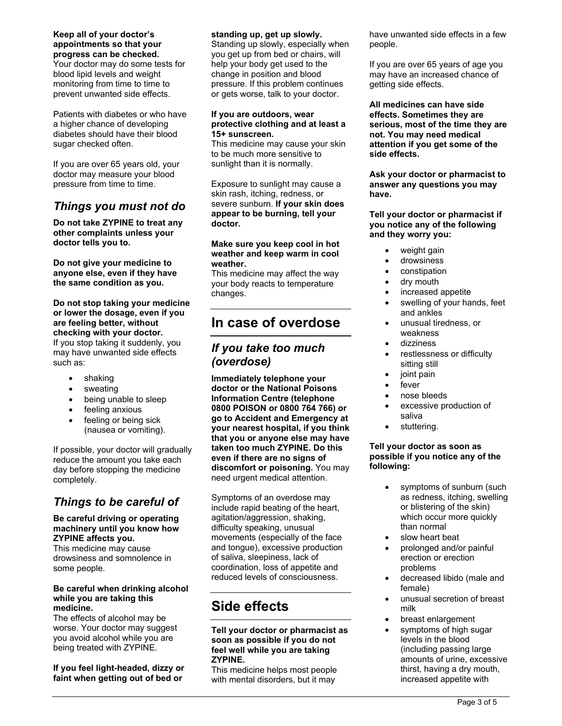### **Keep all of your doctor's appointments so that your progress can be checked.**

Your doctor may do some tests for blood lipid levels and weight monitoring from time to time to prevent unwanted side effects.

Patients with diabetes or who have a higher chance of developing diabetes should have their blood sugar checked often.

If you are over 65 years old, your doctor may measure your blood pressure from time to time.

## *Things you must not do*

**Do not take ZYPINE to treat any other complaints unless your doctor tells you to.** 

**Do not give your medicine to anyone else, even if they have the same condition as you.** 

#### **Do not stop taking your medicine or lower the dosage, even if you are feeling better, without checking with your doctor.**  If you stop taking it suddenly, you may have unwanted side effects such as:

- shaking
- sweating
- being unable to sleep
- feeling anxious
- feeling or being sick (nausea or vomiting).

If possible, your doctor will gradually reduce the amount you take each day before stopping the medicine completely.

# *Things to be careful of*

#### **Be careful driving or operating machinery until you know how ZYPINE affects you.**

This medicine may cause drowsiness and somnolence in some people.

### **Be careful when drinking alcohol while you are taking this medicine.**

The effects of alcohol may be worse. Your doctor may suggest you avoid alcohol while you are being treated with ZYPINE.

**If you feel light-headed, dizzy or faint when getting out of bed or** 

### **standing up, get up slowly.**

Standing up slowly, especially when you get up from bed or chairs, will help your body get used to the change in position and blood pressure. If this problem continues or gets worse, talk to your doctor.

#### **If you are outdoors, wear protective clothing and at least a 15+ sunscreen.**

This medicine may cause your skin to be much more sensitive to sunlight than it is normally.

Exposure to sunlight may cause a skin rash, itching, redness, or severe sunburn. **If your skin does appear to be burning, tell your doctor.** 

### **Make sure you keep cool in hot weather and keep warm in cool weather.**

This medicine may affect the way your body reacts to temperature changes.

# **In case of overdose**

### *If you take too much (overdose)*

**Immediately telephone your doctor or the National Poisons Information Centre (telephone 0800 POISON or 0800 764 766) or go to Accident and Emergency at your nearest hospital, if you think that you or anyone else may have taken too much ZYPINE. Do this even if there are no signs of discomfort or poisoning.** You may need urgent medical attention.

Symptoms of an overdose may include rapid beating of the heart, agitation/aggression, shaking, difficulty speaking, unusual movements (especially of the face and tongue), excessive production of saliva, sleepiness, lack of coordination, loss of appetite and reduced levels of consciousness.

# **Side effects**

#### **Tell your doctor or pharmacist as soon as possible if you do not feel well while you are taking ZYPINE.**

This medicine helps most people with mental disorders, but it may

have unwanted side effects in a few people.

If you are over 65 years of age you may have an increased chance of getting side effects.

**All medicines can have side effects. Sometimes they are serious, most of the time they are not. You may need medical attention if you get some of the side effects.** 

**Ask your doctor or pharmacist to answer any questions you may have.** 

**Tell your doctor or pharmacist if you notice any of the following and they worry you:** 

- weight gain
- drowsiness
- constipation
- dry mouth
- increased appetite
- swelling of your hands, feet and ankles
- unusual tiredness, or weakness
- dizziness
- restlessness or difficulty sitting still
- joint pain
- fever
- nose bleeds
- excessive production of saliva
- stuttering.

#### **Tell your doctor as soon as possible if you notice any of the following:**

- symptoms of sunburn (such as redness, itching, swelling or blistering of the skin) which occur more quickly than normal
- slow heart beat
- prolonged and/or painful erection or erection problems
- decreased libido (male and female)
- unusual secretion of breast milk
- breast enlargement
- symptoms of high sugar levels in the blood (including passing large amounts of urine, excessive thirst, having a dry mouth, increased appetite with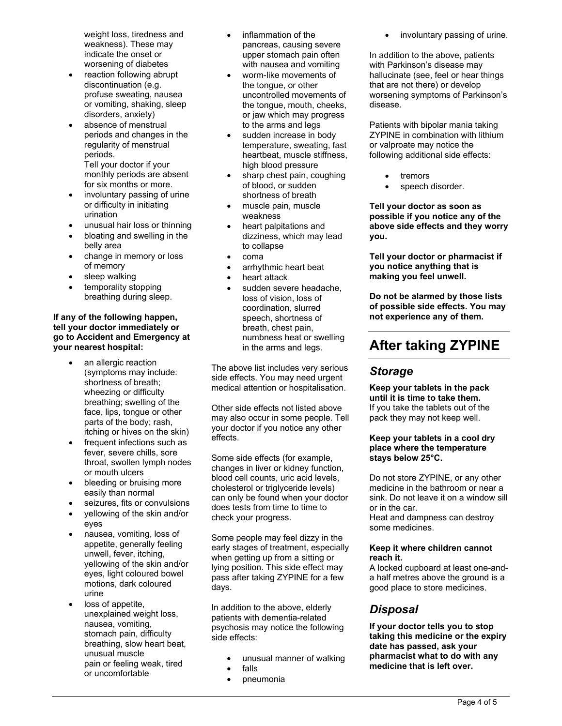weight loss, tiredness and weakness). These may indicate the onset or worsening of diabetes

- reaction following abrupt discontinuation (e.g. profuse sweating, nausea or vomiting, shaking, sleep disorders, anxiety)
- absence of menstrual periods and changes in the regularity of menstrual periods.

Tell your doctor if your monthly periods are absent for six months or more.

- involuntary passing of urine or difficulty in initiating urination
- unusual hair loss or thinning
- bloating and swelling in the belly area
- change in memory or loss of memory
- sleep walking
- temporality stopping breathing during sleep.

### **If any of the following happen, tell your doctor immediately or go to Accident and Emergency at your nearest hospital:**

- an allergic reaction (symptoms may include: shortness of breath; wheezing or difficulty breathing; swelling of the face, lips, tongue or other parts of the body; rash, itching or hives on the skin)
- frequent infections such as fever, severe chills, sore throat, swollen lymph nodes or mouth ulcers
- bleeding or bruising more easily than normal
- seizures, fits or convulsions
- yellowing of the skin and/or eyes
- nausea, vomiting, loss of appetite, generally feeling unwell, fever, itching, yellowing of the skin and/or eyes, light coloured bowel motions, dark coloured urine
- loss of appetite, unexplained weight loss, nausea, vomiting, stomach pain, difficulty breathing, slow heart beat, unusual muscle pain or feeling weak, tired or uncomfortable
- inflammation of the pancreas, causing severe upper stomach pain often with nausea and vomiting
- worm-like movements of the tongue, or other uncontrolled movements of the tongue, mouth, cheeks, or jaw which may progress to the arms and legs
- sudden increase in body temperature, sweating, fast heartbeat, muscle stiffness, high blood pressure
- sharp chest pain, coughing of blood, or sudden shortness of breath
- muscle pain, muscle weakness
- heart palpitations and dizziness, which may lead to collapse
- coma
- arrhythmic heart beat
- heart attack
- sudden severe headache, loss of vision, loss of coordination, slurred speech, shortness of breath, chest pain, numbness heat or swelling in the arms and legs.

The above list includes very serious side effects. You may need urgent medical attention or hospitalisation.

Other side effects not listed above may also occur in some people. Tell your doctor if you notice any other effects.

Some side effects (for example, changes in liver or kidney function, blood cell counts, uric acid levels, cholesterol or triglyceride levels) can only be found when your doctor does tests from time to time to check your progress.

Some people may feel dizzy in the early stages of treatment, especially when getting up from a sitting or lying position. This side effect may pass after taking ZYPINE for a few days.

In addition to the above, elderly patients with dementia-related psychosis may notice the following side effects:

- unusual manner of walking
- falls
- pneumonia

involuntary passing of urine.

In addition to the above, patients with Parkinson's disease may hallucinate (see, feel or hear things that are not there) or develop worsening symptoms of Parkinson's disease.

Patients with bipolar mania taking ZYPINE in combination with lithium or valproate may notice the following additional side effects:

- tremors
- speech disorder.

**Tell your doctor as soon as possible if you notice any of the above side effects and they worry you.** 

**Tell your doctor or pharmacist if you notice anything that is making you feel unwell.** 

**Do not be alarmed by those lists of possible side effects. You may not experience any of them.** 

# **After taking ZYPINE**

### *Storage*

**Keep your tablets in the pack until it is time to take them.** If you take the tablets out of the pack they may not keep well.

### **Keep your tablets in a cool dry place where the temperature stays below 25°C.**

Do not store ZYPINE, or any other medicine in the bathroom or near a sink. Do not leave it on a window sill or in the car. Heat and dampness can destroy some medicines.

### **Keep it where children cannot reach it.**

A locked cupboard at least one-anda half metres above the ground is a good place to store medicines.

## *Disposal*

**If your doctor tells you to stop taking this medicine or the expiry date has passed, ask your pharmacist what to do with any medicine that is left over.**